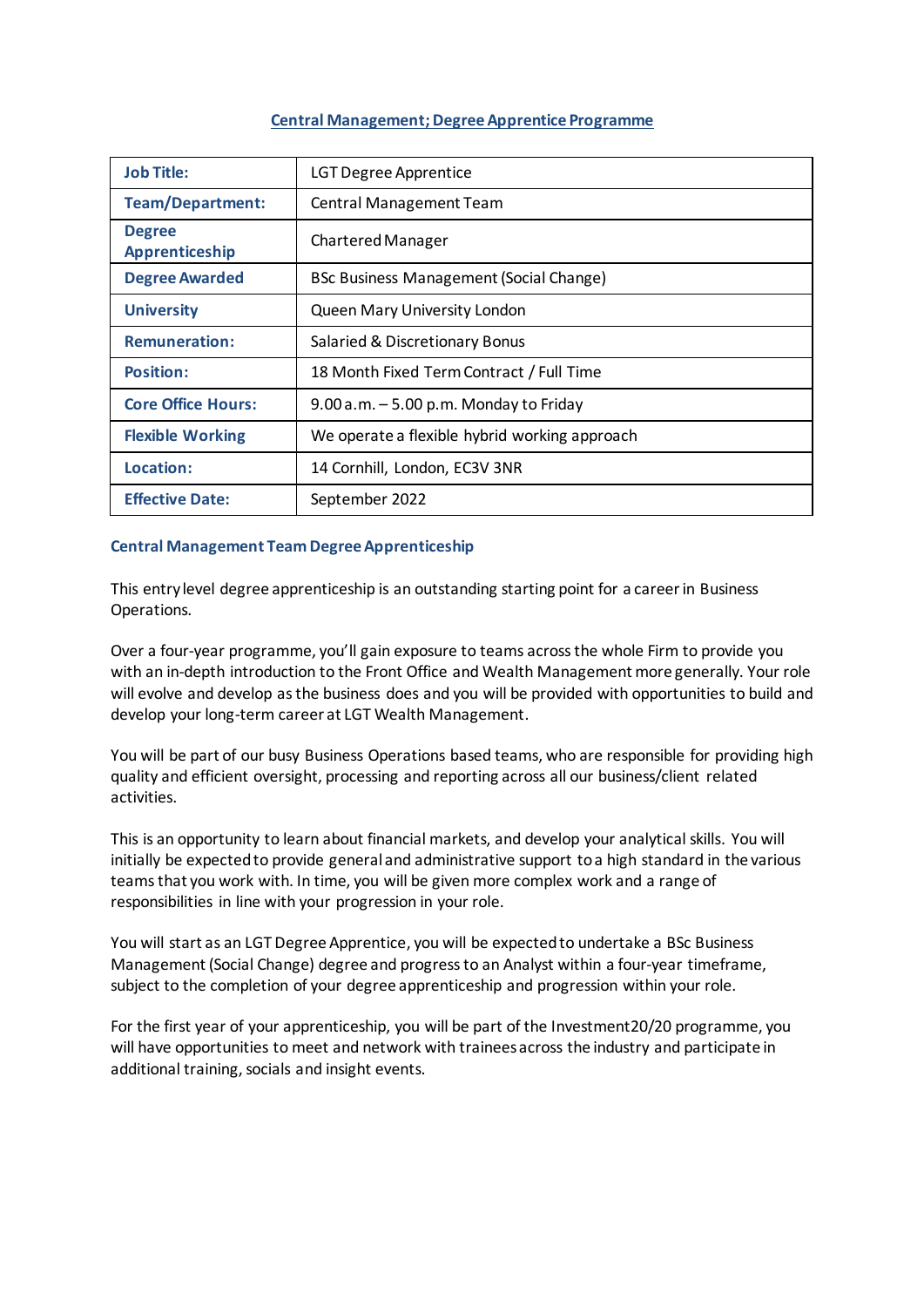# **Central Management;Degree Apprentice Programme**

| <b>Job Title:</b>               | <b>LGT Degree Apprentice</b>                   |  |  |
|---------------------------------|------------------------------------------------|--|--|
| <b>Team/Department:</b>         | <b>Central Management Team</b>                 |  |  |
| <b>Degree</b><br>Apprenticeship | <b>Chartered Manager</b>                       |  |  |
| <b>Degree Awarded</b>           | <b>BSc Business Management (Social Change)</b> |  |  |
| <b>University</b>               | Queen Mary University London                   |  |  |
| <b>Remuneration:</b>            | Salaried & Discretionary Bonus                 |  |  |
| <b>Position:</b>                | 18 Month Fixed Term Contract / Full Time       |  |  |
| <b>Core Office Hours:</b>       | $9.00$ a.m. $-5.00$ p.m. Monday to Friday      |  |  |
| <b>Flexible Working</b>         | We operate a flexible hybrid working approach  |  |  |
| Location:                       | 14 Cornhill, London, EC3V 3NR                  |  |  |
| <b>Effective Date:</b>          | September 2022                                 |  |  |

# **Central Management Team Degree Apprenticeship**

This entry level degree apprenticeship is an outstanding starting point for a career in Business Operations.

Over a four-year programme, you'll gain exposure to teams across the whole Firm to provide you with an in-depth introduction to the Front Office and Wealth Management more generally. Your role will evolve and develop as the business does and you will be provided with opportunities to build and develop your long-term career at LGT Wealth Management.

You will be part of our busy Business Operations based teams, who are responsible for providing high quality and efficient oversight, processing and reporting across all our business/client related activities.

This is an opportunity to learn about financial markets, and develop your analytical skills. You will initially be expected to provide general and administrative support to a high standard in the various teams that you work with. In time, you will be given more complex work and a range of responsibilities in line with your progression in your role.

You will start as an LGT Degree Apprentice, you will be expected to undertake a BSc Business Management (Social Change) degree and progress to an Analyst within a four-year timeframe, subject to the completion of your degree apprenticeship and progression within your role.

For the first year of your apprenticeship, you will be part of the Investment20/20 programme, you will have opportunities to meet and network with trainees across the industry and participate in additional training, socials and insight events.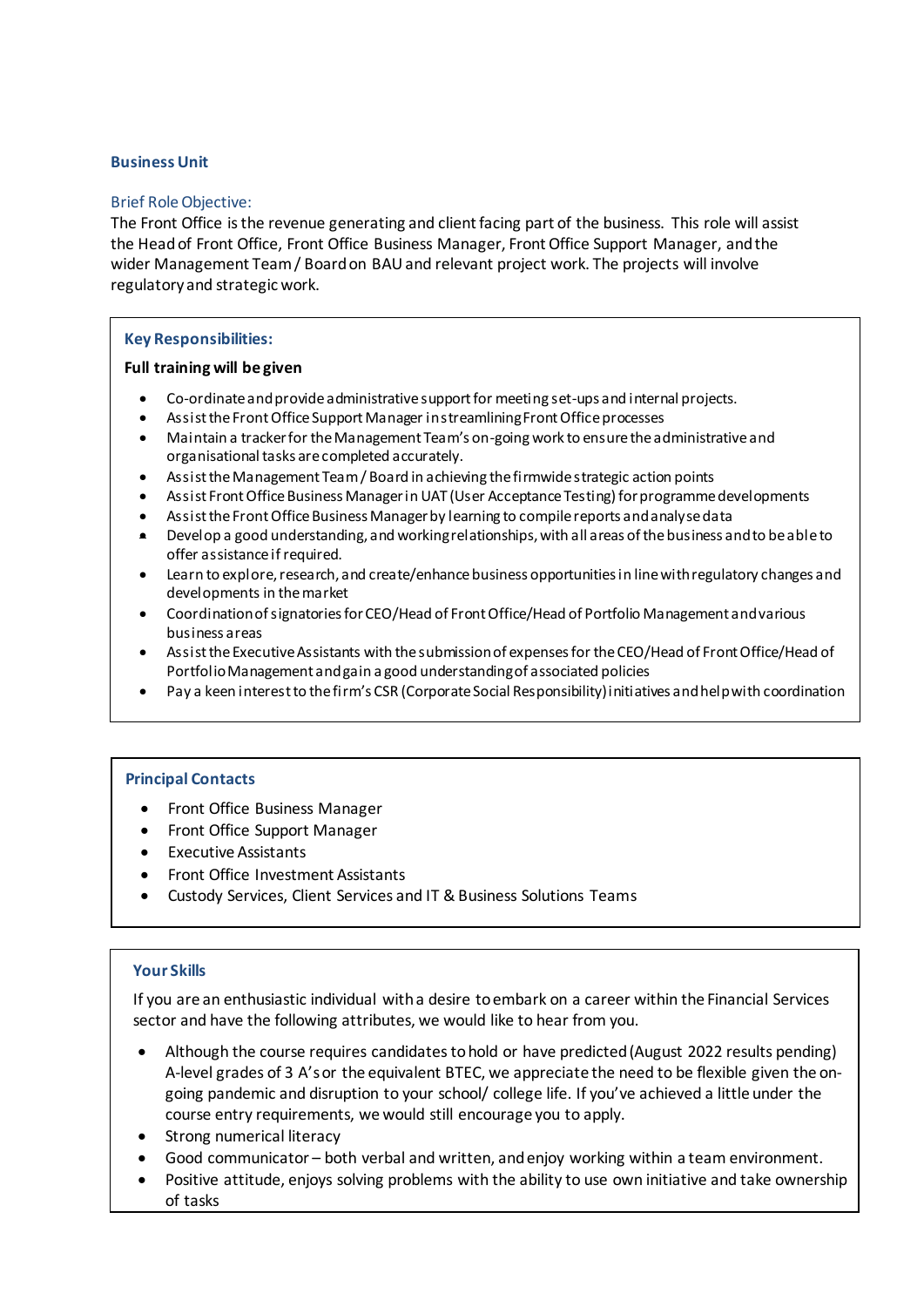# **Business Unit**

# Brief Role Objective:

The Front Office is the revenue generating and client facing part of the business. This role will assist the Head of Front Office, Front Office Business Manager, Front Office Support Manager, and the wider Management Team / Board on BAU and relevant project work. The projects will involve regulatory and strategic work.

# **Key Responsibilities:**

## **Full training will be given**

- Co-ordinate and provide administrative support for meeting set-ups and internal projects.
- Assist the Front Office Support Manager in streamlining Front Office processes
- Maintain a tracker for the Management Team's on-going work to ensure the administrative and organisational tasks are completed accurately.
- Assist the Management Team / Board in achieving the firmwide strategic action points
- Assist Front Office Business Manager in UAT (User Acceptance Testing) for programme developments
- Assist the Front Office Business Manager by learning to compile reports and analyse data
- Develop a good understanding, and working relationships, with all areas of the business and to be able to offer assistance if required.
- Learn to explore, research, and create/enhance business opportunities in line with regulatory changes and developments in the market
- Coordination of signatories for CEO/Head of Front Office/Head of Portfolio Management and various business areas
- Assist the Executive Assistants with the submission of expenses for the CEO/Head of Front Office/Head of Portfolio Management and gain a good understanding of associated policies
- Pay a keen interest to the firm's CSR (Corporate Social Responsibility) initiatives and help with coordination

# **Principal Contacts**

- Front Office Business Manager
- Front Office Support Manager
- Executive Assistants
- Front Office Investment Assistants
- Custody Services, Client Services and IT & Business Solutions Teams

# **Your Skills**

If you are an enthusiastic individual with a desire to embark on a career within the Financial Services sector and have the following attributes, we would like to hear from you.

- Although the course requires candidates to hold or have predicted (August 2022 results pending) A-level grades of 3 A's or the equivalent BTEC, we appreciate the need to be flexible given the ongoing pandemic and disruption to your school/ college life. If you've achieved a little under the course entry requirements, we would still encourage you to apply.
- Strong numerical literacy
- Good communicator both verbal and written, and enjoy working within a team environment.
- Positive attitude, enjoys solving problems with the ability to use own initiative and take ownership of tasks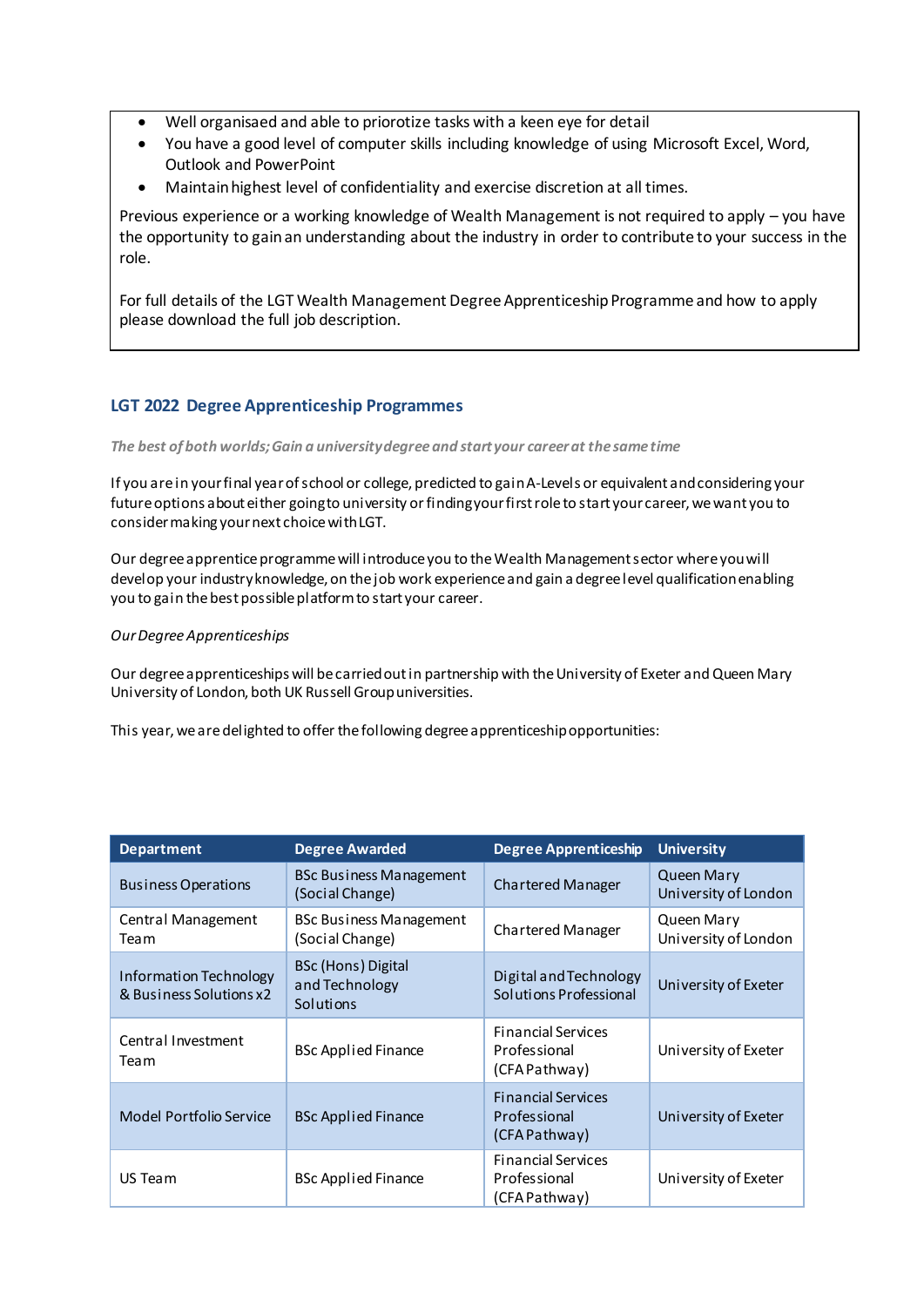- Well organisaed and able to priorotize tasks with a keen eye for detail
- You have a good level of computer skills including knowledge of using Microsoft Excel, Word, Outlook and PowerPoint
- Maintain highest level of confidentiality and exercise discretion at all times.

Previous experience or a working knowledge of Wealth Management is not required to apply – you have the opportunity to gain an understanding about the industry in order to contribute to your success in the role.

For full details of the LGT Wealth Management Degree Apprenticeship Programme and how to apply please download the full job description.

# **LGT 2022 Degree Apprenticeship Programmes**

*The best of both worlds; Gain a university degree and start your career at the same time* 

If you are in your final year of school or college, predicted to gain A-Levels or equivalent and considering your future options about either going to university or finding your first role to start your career, we want you to consider making your next choice with LGT.

Our degree apprentice programme will introduce you to the Wealth Management sector where you will develop your industry knowledge, on the job work experience and gain a degree level qualification enabling you to gain the best possible platform to start your career.

# *Our Degree Apprenticeships*

Our degree apprenticeships will be carried out in partnership with the University of Exeter and Queen Mary University of London, both UK Russell Group universities.

This year, we are delighted to offer the following degree apprenticeship opportunities:

| <b>Department</b>                                 | <b>Degree Awarded</b>                             | <b>Degree Apprenticeship</b>                               | <b>University</b>                         |
|---------------------------------------------------|---------------------------------------------------|------------------------------------------------------------|-------------------------------------------|
| <b>Business Operations</b>                        | <b>BSc Business Management</b><br>(Social Change) | Chartered Manager                                          | <b>Queen Mary</b><br>University of London |
| Central Management<br>Team                        | <b>BSc Business Management</b><br>(Social Change) | Chartered Manager                                          | Queen Mary<br>University of London        |
| Information Technology<br>& Business Solutions x2 | BSc (Hons) Digital<br>and Technology<br>Solutions | Digital and Technology<br>Solutions Professional           | University of Exeter                      |
| Central Investment<br>Team                        | <b>BSc Applied Finance</b>                        | <b>Financial Services</b><br>Professional<br>(CFA Pathway) | University of Exeter                      |
| Model Portfolio Service                           | <b>BSc Applied Finance</b>                        | <b>Financial Services</b><br>Professional<br>(CFA Pathway) | University of Exeter                      |
| US Team                                           | <b>BSc Applied Finance</b>                        | <b>Financial Services</b><br>Professional<br>(CFA Pathway) | University of Exeter                      |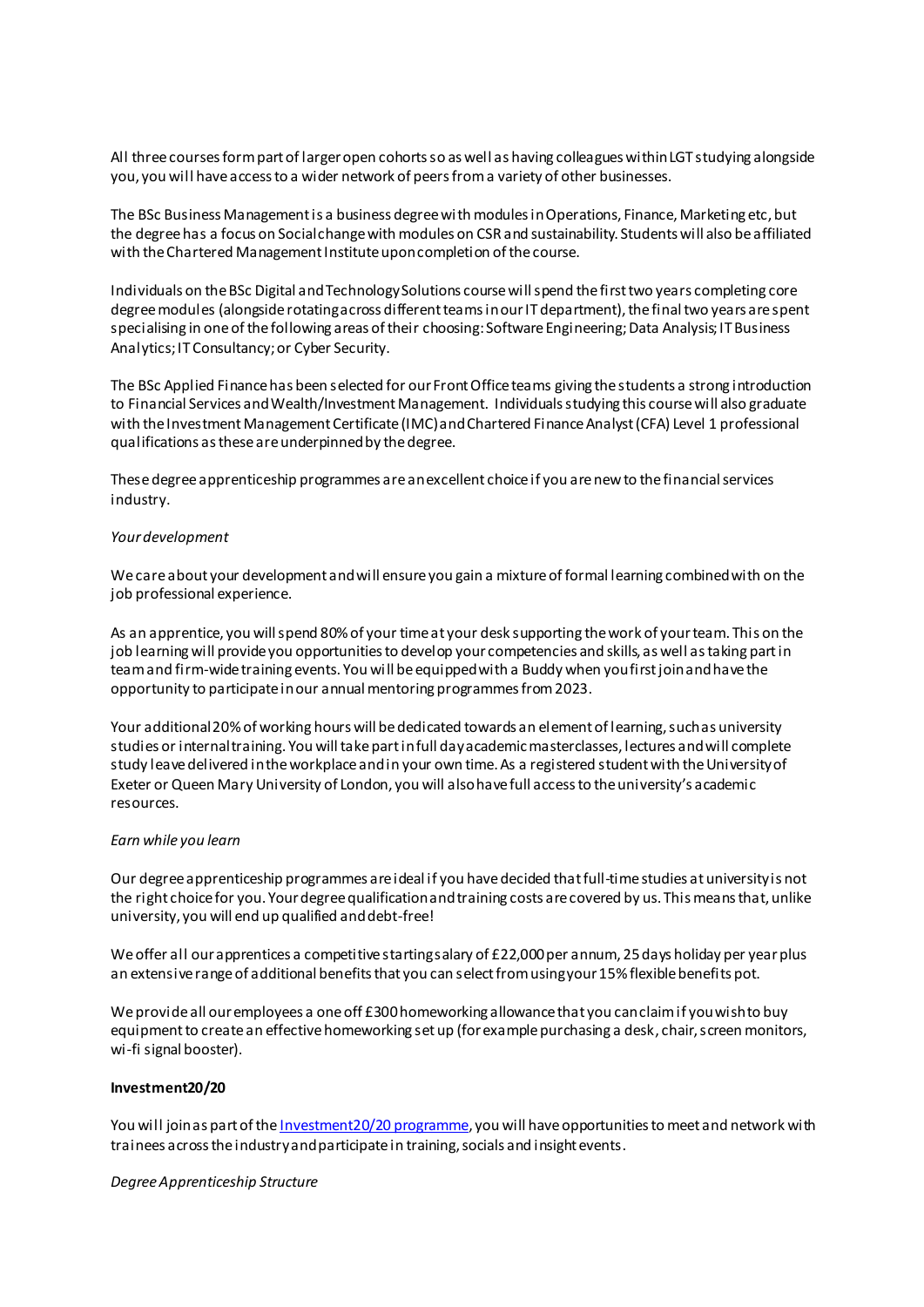All three courses form part of larger open cohorts so as well as having colleagues within LGT studying alongside you, you will have access to a wider network of peers from a variety of other businesses.

The BSc Business Management is a business degree with modules in Operations, Finance, Marketing etc, but the degree has a focus on Social change with modules on CSR and sustainability. Students will also be affiliated with the Chartered Management Institute upon completion of the course.

Individuals on the BSc Digital and Technology Solutions course will spend the first two years completing core degree modules (alongside rotating across different teams in our IT department), the final two years are spent specialising in one of the following areas of their choosing: Software Engineering; Data Analysis; IT Business Analytics; IT Consultancy; or Cyber Security.

The BSc Applied Finance has been selected for our Front Office teams giving the students a strong introduction to Financial Services and Wealth/Investment Management. Individuals studying this course will also graduate with the Investment Management Certificate (IMC) and Chartered Finance Analyst (CFA) Level 1 professional qualifications as these are underpinned by the degree.

These degree apprenticeship programmes are an excellent choice if you are new to the financial services industry.

#### *Your development*

We care about your development and will ensure you gain a mixture of formal learning combined with on the job professional experience.

As an apprentice, you will spend 80% of your time at your desk supporting the work of your team. This on the job learning will provide you opportunities to develop your competencies and skills, as well as taking part in team and firm-wide training events. You will be equipped with a Buddy when you first join and have the opportunity to participate in our annual mentoring programmes from 2023.

Your additional 20% of working hours will be dedicated towards an element of learning, such as university studies or internal training. You will take part in full day academic masterclasses, lectures and will complete study leave delivered in the workplace and in your own time. As a registered student with the University of Exeter or Queen Mary University of London, you will also have full access to the university's academic resources.

#### *Earn while you learn*

Our degree apprenticeship programmes are ideal if you have decided that full-time studies at university is not the right choice for you. Your degree qualification and training costs are covered by us. This means that, unlike university, you will end up qualified and debt-free!

We offer all our apprentices a competitive starting salary of £22,000 per annum, 25 days holiday per year plus an extensive range of additional benefits that you can select from using your 15% flexible benefits pot.

We provide all our employees a one off £300 homeworking allowance that you can claim if you wish to buy equipment to create an effective homeworking set up (for example purchasing a desk, chair, screen monitors, wi-fi signal booster).

#### **Investment20/20**

You will join as part of th[e Investment20/20 programme](https://www.investment2020.org.uk/), you will have opportunities to meet and network with trainees across the industry and participate in training, socials and insight events.

#### *Degree Apprenticeship Structure*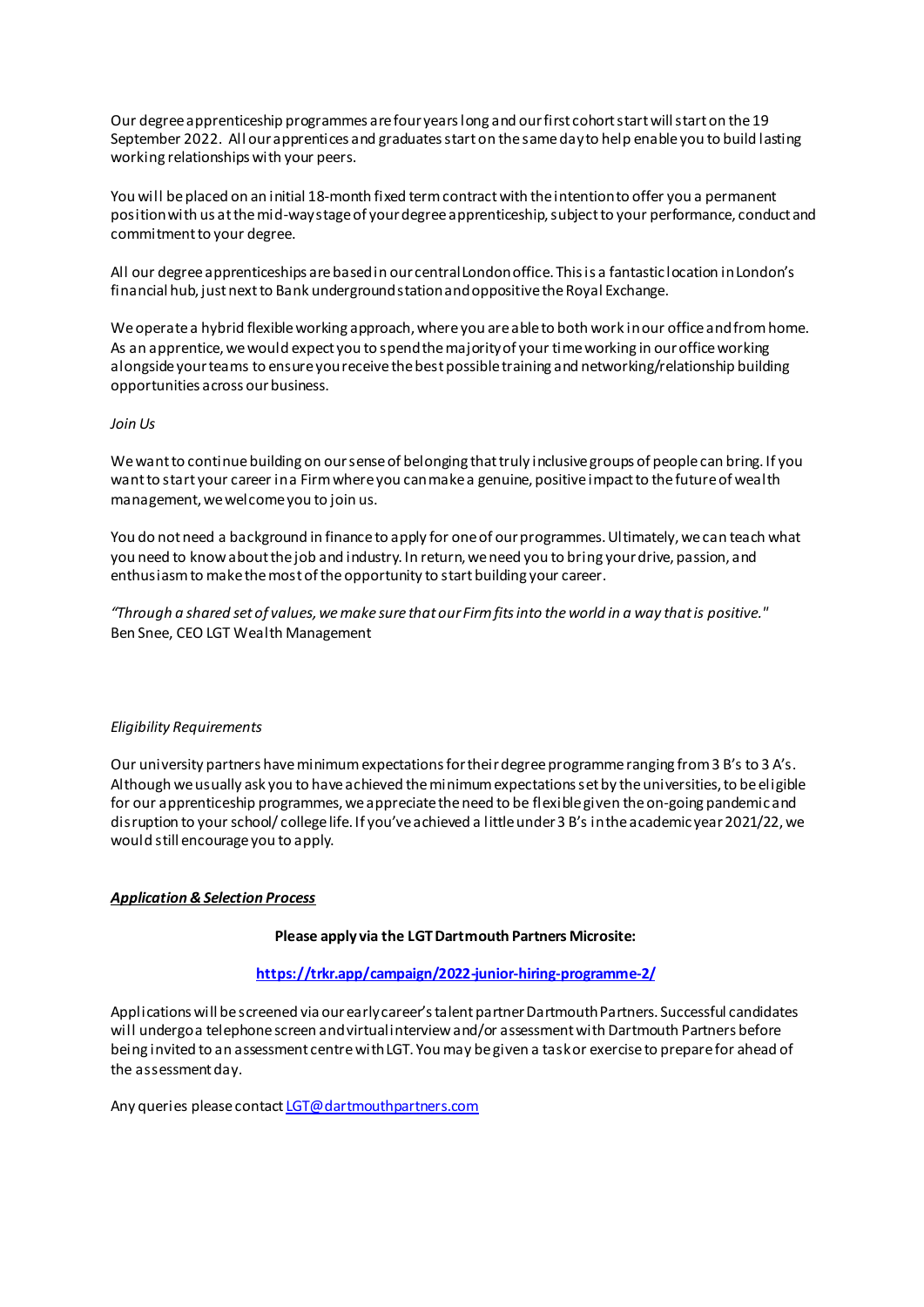Our degree apprenticeship programmes are four years long and our first cohort start will start on the 19 September 2022. All our apprentices and graduates start on the same day to help enable you to build lasting working relationships with your peers.

You will be placed on an initial 18-month fixed term contract with the intention to offer you a permanent position with us at the mid-way stage of your degree apprenticeship, subject to your performance, conduct and commitment to your degree.

All our degree apprenticeships are based in our central London office. This is a fantastic location in London's financial hub, just next to Bank underground station and oppositive the Royal Exchange.

We operate a hybrid flexible working approach, where you are able to both work in our office and from home. As an apprentice, we would expect you to spend the majority of your time working in our office working alongside your teams to ensure you receive the best possible training and networking/relationship building opportunities across our business.

#### *Join Us*

We want to continue building on our sense of belonging that truly inclusive groups of people can bring. If you want to start your career in a Firm where you can make a genuine, positive impact to the future of wealth management, we welcome you to join us.

You do not need a background in finance to apply for one of our programmes. Ultimately, we can teach what you need to know about the job and industry. In return, we need you to bring your drive, passion, and enthusiasm to make the most of the opportunity to start building your career.

*"Through a shared set of values, we make sure that our Firm fits into the world in a way that is positive."* Ben Snee, CEO LGT Wealth Management

#### *Eligibility Requirements*

Our university partners have minimum expectations for their degree programme ranging from 3 B's to 3 A's. Although we usually ask you to have achieved the minimum expectations set by the universities, to be eligible for our apprenticeship programmes, we appreciate the need to be flexible given the on-going pandemic and disruption to your school/ college life. If you've achieved a little under 3 B's in the academic year 2021/22, we would still encourage you to apply.

# *Application & Selection Process*

#### **Please apply via the LGT Dartmouth Partners Microsite:**

## **<https://trkr.app/campaign/2022-junior-hiring-programme-2/>**

Applications will be screened via our early career's talent partner Dartmouth Partners. Successful candidates will undergo a telephone screen and virtual interview and/or assessment with Dartmouth Partners before being invited to an assessment centre with LGT. You may be given a task or exercise to prepare for ahead of the assessment day.

Any queries please contac[t LGT@dartmouthpartners.com](mailto:LGT@dartmouthpartners.com)